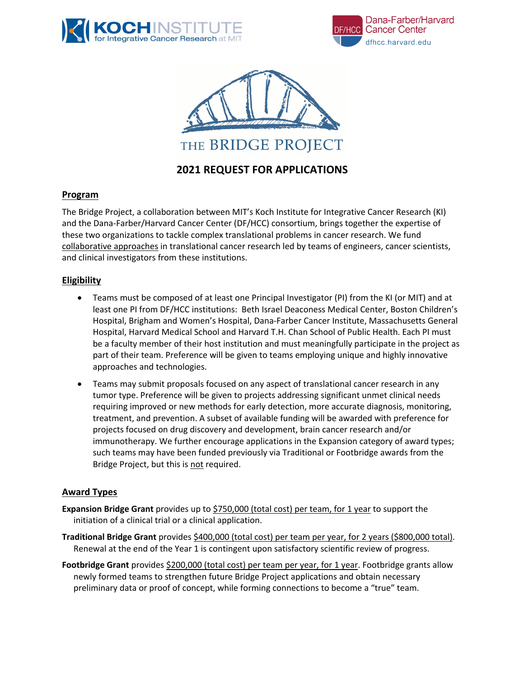





# **2021 REQUEST FOR APPLICATIONS**

# **Program**

The Bridge Project, a collaboration between MIT's Koch Institute for Integrative Cancer Research (KI) and the Dana-Farber/Harvard Cancer Center (DF/HCC) consortium, brings together the expertise of these two organizations to tackle complex translational problems in cancer research. We fund collaborative approaches in translational cancer research led by teams of engineers, cancer scientists, and clinical investigators from these institutions.

# **Eligibility**

- Teams must be composed of at least one Principal Investigator (PI) from the KI (or MIT) and at least one PI from DF/HCC institutions: Beth Israel Deaconess Medical Center, Boston Children's Hospital, Brigham and Women's Hospital, Dana-Farber Cancer Institute, Massachusetts General Hospital, Harvard Medical School and Harvard T.H. Chan School of Public Health. Each PI must be a faculty member of their host institution and must meaningfully participate in the project as part of their team. Preference will be given to teams employing unique and highly innovative approaches and technologies.
- Teams may submit proposals focused on any aspect of translational cancer research in any tumor type. Preference will be given to projects addressing significant unmet clinical needs requiring improved or new methods for early detection, more accurate diagnosis, monitoring, treatment, and prevention. A subset of available funding will be awarded with preference for projects focused on drug discovery and development, brain cancer research and/or immunotherapy. We further encourage applications in the Expansion category of award types; such teams may have been funded previously via Traditional or Footbridge awards from the Bridge Project, but this is not required.

#### **Award Types**

- Expansion Bridge Grant provides up to \$750,000 (total cost) per team, for 1 year to support the initiation of a clinical trial or a clinical application.
- **Traditional Bridge Grant** provides \$400,000 (total cost) per team per year, for 2 years (\$800,000 total). Renewal at the end of the Year 1 is contingent upon satisfactory scientific review of progress.
- **Footbridge Grant** provides \$200,000 (total cost) per team per year, for 1 year. Footbridge grants allow newly formed teams to strengthen future Bridge Project applications and obtain necessary preliminary data or proof of concept, while forming connections to become a "true" team.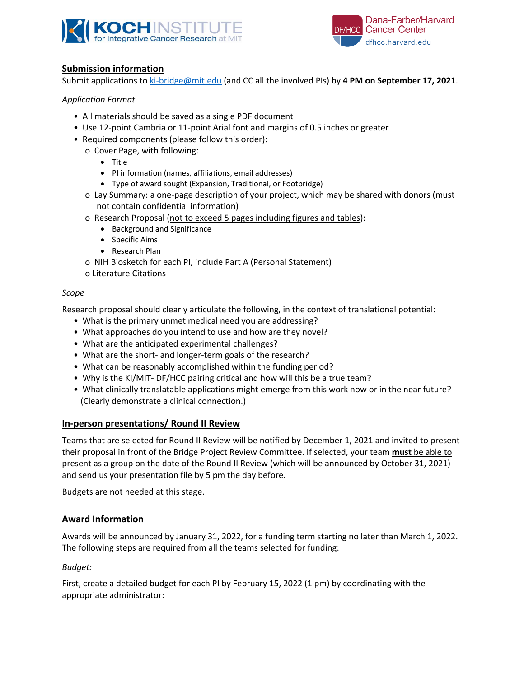



# **Submission information**

Submit applications to ki-bridge@mit.edu (and CC all the involved PIs) by **4 PM on September 17, 2021**.

# *Application Format*

- All materials should be saved as a single PDF document
- Use 12-point Cambria or 11-point Arial font and margins of 0.5 inches or greater
- Required components (please follow this order):
	- o Cover Page, with following:
		- Title
		- PI information (names, affiliations, email addresses)
		- Type of award sought (Expansion, Traditional, or Footbridge)
	- o Lay Summary: a one-page description of your project, which may be shared with donors (must not contain confidential information)
	- o Research Proposal (not to exceed 5 pages including figures and tables):
		- Background and Significance
		- Specific Aims
		- Research Plan
	- o NIH Biosketch for each PI, include Part A (Personal Statement)
	- o Literature Citations

#### *Scope*

Research proposal should clearly articulate the following, in the context of translational potential:

- What is the primary unmet medical need you are addressing?
- What approaches do you intend to use and how are they novel?
- What are the anticipated experimental challenges?
- What are the short- and longer-term goals of the research?
- What can be reasonably accomplished within the funding period?
- Why is the KI/MIT- DF/HCC pairing critical and how will this be a true team?
- What clinically translatable applications might emerge from this work now or in the near future? (Clearly demonstrate a clinical connection.)

#### **In-person presentations/ Round II Review**

Teams that are selected for Round II Review will be notified by December 1, 2021 and invited to present their proposal in front of the Bridge Project Review Committee. If selected, your team **must** be able to present as a group on the date of the Round II Review (which will be announced by October 31, 2021) and send us your presentation file by 5 pm the day before.

Budgets are not needed at this stage.

#### **Award Information**

Awards will be announced by January 31, 2022, for a funding term starting no later than March 1, 2022. The following steps are required from all the teams selected for funding:

#### *Budget:*

First, create a detailed budget for each PI by February 15, 2022 (1 pm) by coordinating with the appropriate administrator: